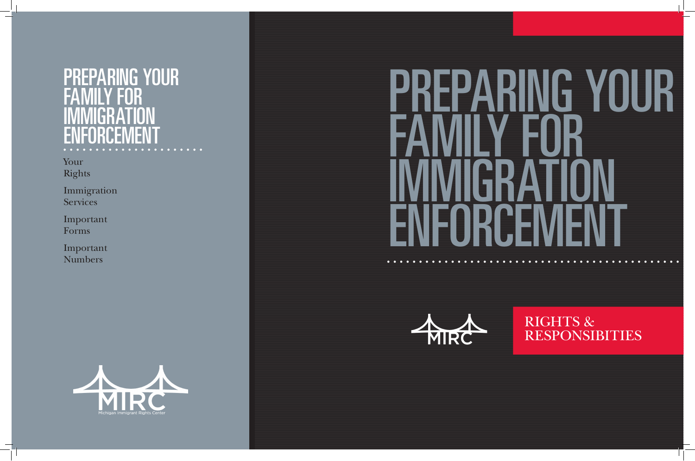# NG YOU FAMILY FOR IMMIGRATION ENFORCEMENT

Your Rights

Immigration Services

Important Forms

Important Numbers







 $\bullet$ 

 $\bullet$   $\bullet$ 

**COL** 

 $\bullet\quad\bullet\quad\bullet\quad\bullet\quad\bullet$ 

# RIGHTS & RESPONSIBITIES

# PREPARING YOUR FAMILY FOR IMMIGRATION ENFORCEMENT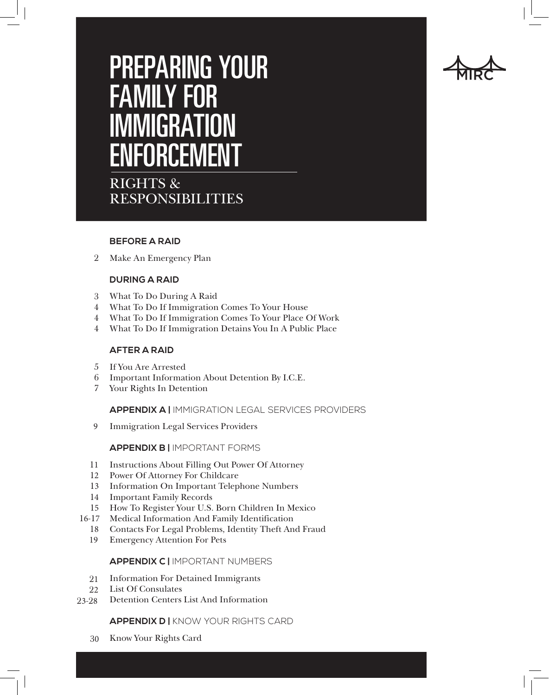# PREPARING YOUR FAMILY FOR IMMIGRATION ENFORCEMENT

RIGHTS & RESPONSIBILITIES

#### **BEFORE A RAID**

Make An Emergency Plan 2

#### **DURING A RAID**

- What To Do During A Raid 3
- What To Do If Immigration Comes To Your House 4
- What To Do If Immigration Comes To Your Place Of Work 4
- What To Do If Immigration Detains You In A Public Place 4

#### **AFTER A RAID**

- If You Are Arrested 5
- 6 Important Information About Detention By I.C.E.
- 7 Your Rights In Detention

#### **APPENDIX A |** IMMIGRATION LEGAL SERVICES PROVIDERS

Immigration Legal Services Providers 9

#### **APPENDIX B |** IMPORTANT FORMS

- 11 Instructions About Filling Out Power Of Attorney
- 12 Power Of Attorney For Childcare
- 13 Information On Important Telephone Numbers
- 14 Important Family Records
- 15 How To Register Your U.S. Born Children In Mexico
- 16-17 Medical Information And Family Identification
	- Contacts For Legal Problems, Identity Theft And Fraud 18
	- Emergency Attention For Pets 19

#### **APPENDIX C |** IMPORTANT NUMBERS

- 21 Information For Detained Immigrants
- List Of Consulates 22
- Detention Centers List And Information 23-28

#### **APPENDIX D |** KNOW YOUR RIGHTS CARD

Know Your Rights Card 30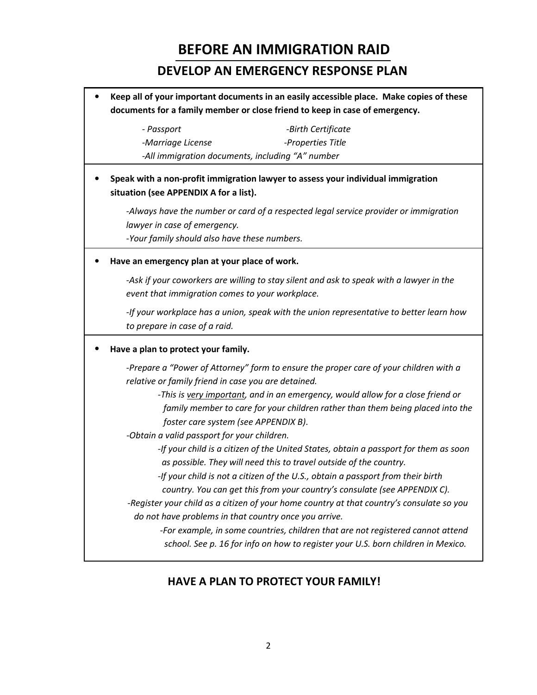# **BEFORE AN IMMIGRATION RAID**

## **DEVELOP AN EMERGENCY RESPONSE PLAN**

• **Keep all of your important documents in an easily accessible place. Make copies of these documents for a family member or close friend to keep in case of emergency.** *- Passport -Birth Certificate -Marriage License -Properties Title -All immigration documents, including "A" number*  • **Speak with a non-profit immigration lawyer to assess your individual immigration situation (see APPENDIX A for a list).** *-Always have the number or card of a respected legal service provider or immigration lawyer in case of emergency. -Your family should also have these numbers.*  • **Have an emergency plan at your place of work.** *-Ask if your coworkers are willing to stay silent and ask to speak with a lawyer in the event that immigration comes to your workplace. -If your workplace has a union, speak with the union representative to better learn how to prepare in case of a raid.*  • **Have a plan to protect your family.** *-Prepare a "Power of Attorney" form to ensure the proper care of your children with a relative or family friend in case you are detained. -This is very important, and in an emergency, would allow for a close friend or family member to care for your children rather than them being placed into the foster care system (see APPENDIX B)*. *-Obtain a valid passport for your children. -If your child is a citizen of the United States, obtain a passport for them as soon as possible. They will need this to travel outside of the country. -If your child is not a citizen of the U.S., obtain a passport from their birth country. You can get this from your country's consulate (see APPENDIX C). -Register your child as a citizen of your home country at that country's consulate so you do not have problems in that country once you arrive. -For example, in some countries, children that are not registered cannot attend school. See p. 16 for info on how to register your U.S. born children in Mexico.* 

## **HAVE A PLAN TO PROTECT YOUR FAMILY!**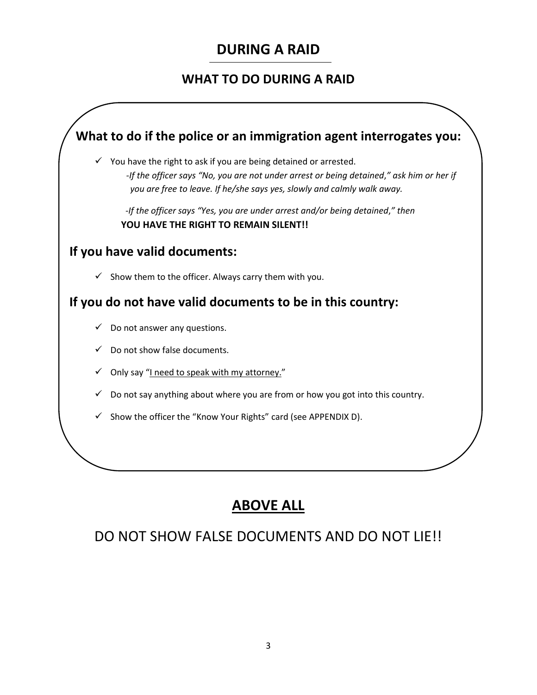# **DURING A RAID**

## **WHAT TO DO DURING A RAID**



# **ABOVE ALL**

# DO NOT SHOW FALSE DOCUMENTS AND DO NOT LIE!!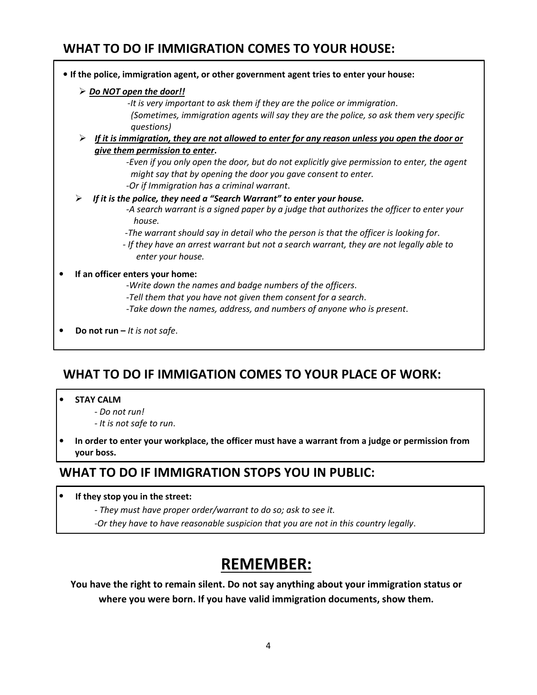## **WHAT TO DO IF IMMIGRATION COMES TO YOUR HOUSE:**

#### • **If the police, immigration agent, or other government agent tries to enter your house:** - *Do NOT open the door!!* -*It is very important to ask them if they are the police or immigration*. *(Sometimes, immigration agents will say they are the police, so ask them very specific questions)*  - *If it is immigration, they are not allowed to enter for any reason unless you open the door or give them permission to enter***.** *-Even if you only open the door, but do not explicitly give permission to enter, the agent might say that by opening the door you gave consent to enter. -Or if Immigration has a criminal warrant*.  $\blacktriangleright$  *If it is the police, they need a "Search Warrant" to enter your house. -A search warrant is a signed paper by a judge that authorizes the officer to enter your house. -The warrant should say in detail who the person is that the officer is looking for*. *- If they have an arrest warrant but not a search warrant, they are not legally able to enter your house.*  • **If an officer enters your home:** -*Write down the names and badge numbers of the officers*. *-Tell them that you have not given them consent for a search*. *-Take down the names, address, and numbers of anyone who is present*. • **Do not run –** *It is not safe*.

# **WHAT TO DO IF IMMIGATION COMES TO YOUR PLACE OF WORK:**

#### • **STAY CALM**

- *Do not run!*
- *It is not safe to run*.
- **In order to enter your workplace, the officer must have a warrant from a judge or permission from your boss.**

## **WHAT TO DO IF IMMIGRATION STOPS YOU IN PUBLIC:**

- **If they stop you in the street:**
	- *They must have proper order/warrant to do so; ask to see it.*
	- *-Or they have to have reasonable suspicion that you are not in this country legally*.

# **REMEMBER:**

**You have the right to remain silent. Do not say anything about your immigration status or where you were born. If you have valid immigration documents, show them.**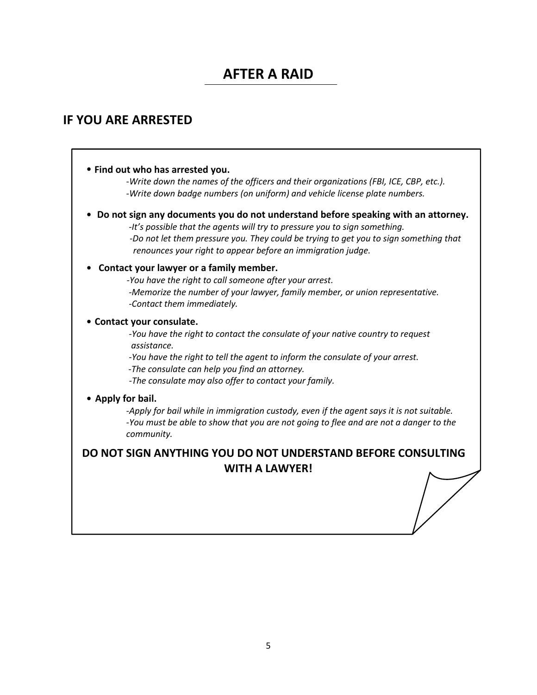# **AFTER A RAID**

### **IF YOU ARE ARRESTED**

#### • **Find out who has arrested you.**

-*Write down the names of the officers and their organizations (FBI, ICE, CBP, etc.). -Write down badge numbers (on uniform) and vehicle license plate numbers.* 

• **Do not sign any documents you do not understand before speaking with an attorney.**

 *-It's possible that the agents will try to pressure you to sign something.*  *-Do not let them pressure you. They could be trying to get you to sign something that renounces your right to appear before an immigration judge.* 

#### • **Contact your lawyer or a family member.**

 *-You have the right to call someone after your arrest. -Memorize the number of your lawyer, family member, or union representative. -Contact them immediately.* 

#### • **Contact your consulate.**

*-You have the right to contact the consulate of your native country to request*  *assistance.* 

 *-You have the right to tell the agent to inform the consulate of your arrest.* 

 *-The consulate can help you find an attorney.* 

*-The consulate may also offer to contact your family.* 

#### • **Apply for bail.**

*-Apply for bail while in immigration custody, even if the agent says it is not suitable. -You must be able to show that you are not going to flee and are not a danger to the community.* 

#### **DO NOT SIGN ANYTHING YOU DO NOT UNDERSTAND BEFORE CONSULTING WITH A LAWYER!**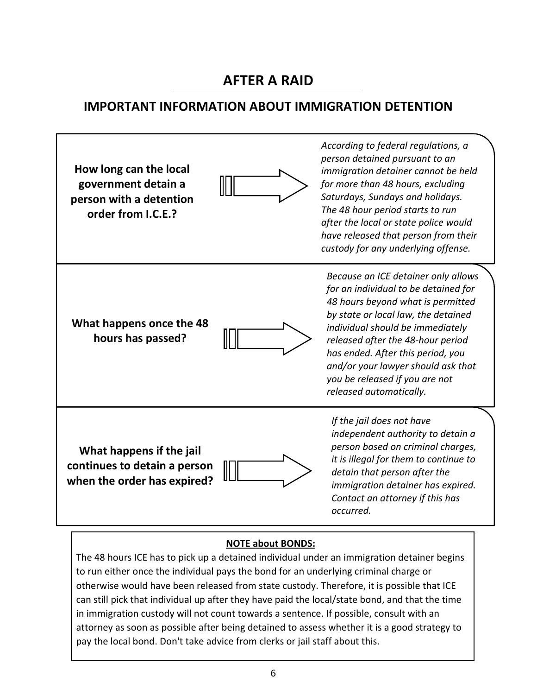# **AFTER A RAID**

## **IMPORTANT INFORMATION ABOUT IMMIGRATION DETENTION**



#### **NOTE about BONDS:**

The 48 hours ICE has to pick up a detained individual under an immigration detainer begins to run either once the individual pays the bond for an underlying criminal charge or otherwise would have been released from state custody. Therefore, it is possible that ICE can still pick that individual up after they have paid the local/state bond, and that the time in immigration custody will not count towards a sentence. If possible, consult with an attorney as soon as possible after being detained to assess whether it is a good strategy to pay the local bond. Don't take advice from clerks or jail staff about this.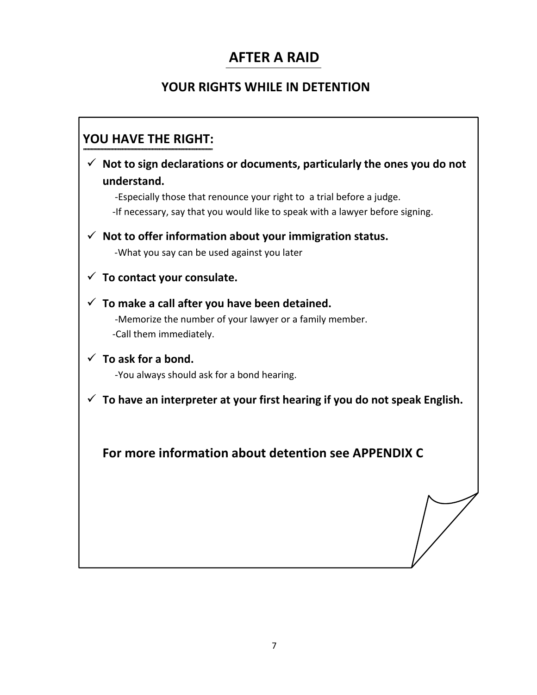# **AFTER A RAID**

## **YOUR RIGHTS WHILE IN DETENTION**

# **YOU HAVE THE RIGHT:**

| $\checkmark$ Not to sign declarations or documents, particularly the ones you do not                                                                                  |
|-----------------------------------------------------------------------------------------------------------------------------------------------------------------------|
| understand.<br>-Especially those that renounce your right to a trial before a judge.<br>-If necessary, say that you would like to speak with a lawyer before signing. |
| $\checkmark$ Not to offer information about your immigration status.<br>-What you say can be used against you later                                                   |
| $\checkmark$ To contact your consulate.                                                                                                                               |
| $\checkmark$ To make a call after you have been detained.<br>-Memorize the number of your lawyer or a family member.<br>-Call them immediately.                       |
| $\checkmark$ To ask for a bond.<br>-You always should ask for a bond hearing.                                                                                         |
| To have an interpreter at your first hearing if you do not speak English.                                                                                             |
| For more information about detention see APPENDIX C                                                                                                                   |
|                                                                                                                                                                       |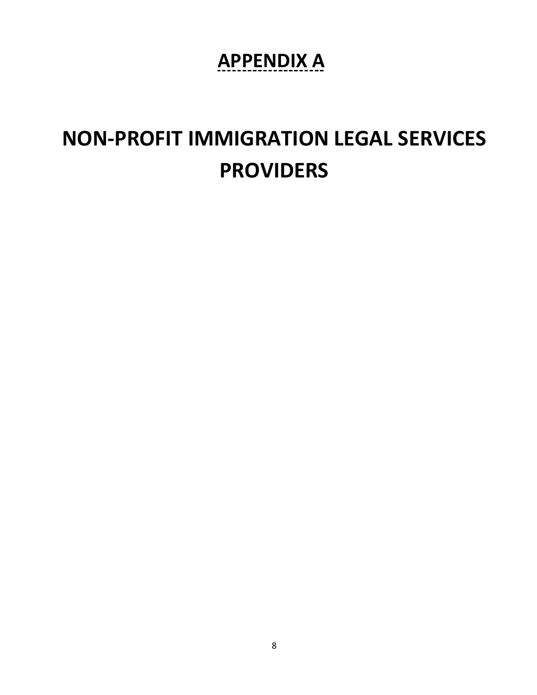# **APPENDIX A.**

# **NON-PROFIT IMMIGRATION LEGAL SERVICES PROVIDERS**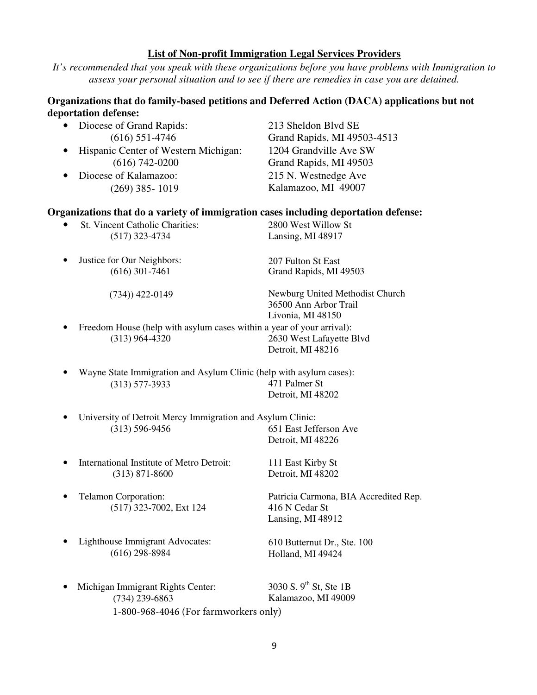#### **List of Non-profit Immigration Legal Services Providers**

*It's recommended that you speak with these organizations before you have problems with Immigration to assess your personal situation and to see if there are remedies in case you are detained.* 

#### **Organizations that do family-based petitions and Deferred Action (DACA) applications but not deportation defense:**

- Diocese of Grand Rapids: 213 Sheldon Blvd SE
- Hispanic Center of Western Michigan: 1204 Grandville Ave SW (616) 742-0200 Grand Rapids, MI 49503
- Diocese of Kalamazoo: 215 N. Westnedge Ave

(616) 551-4746 Grand Rapids, MI 49503-4513 (269) 385- 1019 Kalamazoo, MI 49007

#### **Organizations that do a variety of immigration cases including deportation defense:**

- St. Vincent Catholic Charities: 2800 West Willow St (517) 323-4734 Lansing, MI 48917
- Justice for Our Neighbors: (616) 301-7461 207 Fulton St East Grand Rapids, MI 49503 (734)) 422-0149 Newburg United Methodist Church 36500 Ann Arbor Trail Livonia, MI 48150
- Freedom House (help with asylum cases within a year of your arrival): (313) 964-4320 2630 West Lafayette Blvd Detroit, MI 48216
- Wayne State Immigration and Asylum Clinic (help with asylum cases): (313) 577-3933 471 Palmer St Detroit, MI 48202
- University of Detroit Mercy Immigration and Asylum Clinic: (313) 596-9456 651 East Jefferson Ave
- International Institute of Metro Detroit: 111 East Kirby St (313) 871-8600 Detroit, MI 48202
- (517) 323-7002, Ext 124 416 N Cedar St
- Lighthouse Immigrant Advocates: (616) 298-8984

Detroit, MI 48226

• Telamon Corporation: Patricia Carmona, BIA Accredited Rep. Lansing, MI 48912

- 610 Butternut Dr., Ste. 100 Holland, MI 49424
- Michigan Immigrant Rights Center:  $3030 S. 9<sup>th</sup> St$ , Ste 1B (734) 239-6863 Kalamazoo, MI 49009 1-800-968-4046 (For farmworkers only)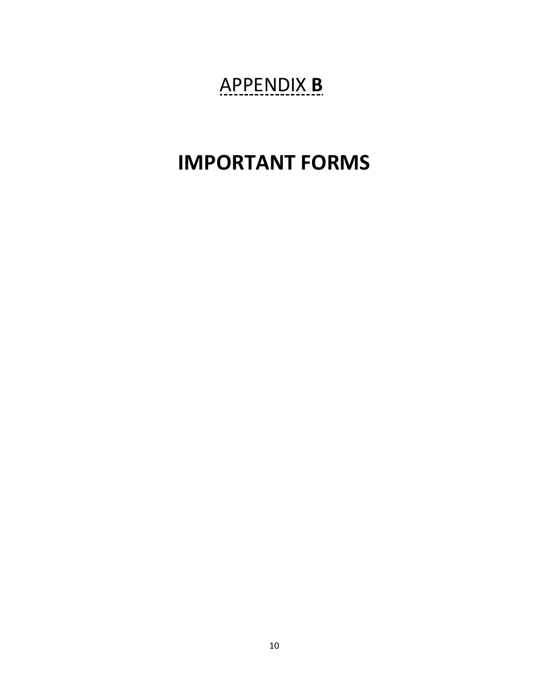# APPENDIX **B.**

# **IMPORTANT FORMS**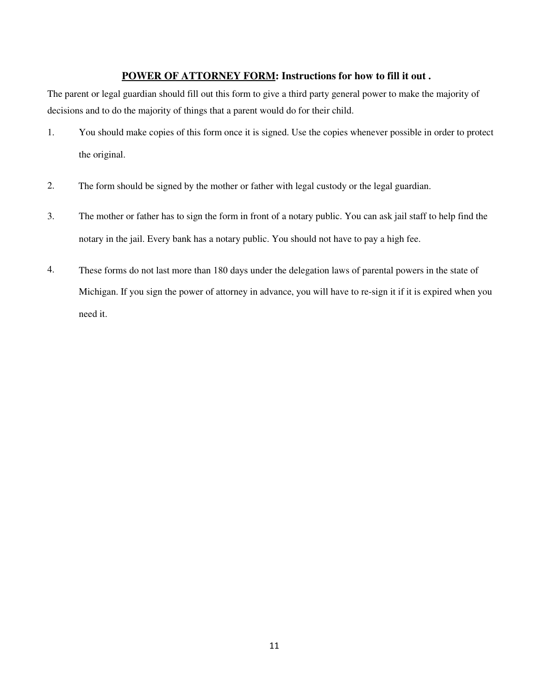#### **POWER OF ATTORNEY FORM: Instructions for how to fill it out .**

The parent or legal guardian should fill out this form to give a third party general power to make the majority of decisions and to do the majority of things that a parent would do for their child.

- 1. You should make copies of this form once it is signed. Use the copies whenever possible in order to protect the original.
- 2. The form should be signed by the mother or father with legal custody or the legal guardian.
- 3. The mother or father has to sign the form in front of a notary public. You can ask jail staff to help find the notary in the jail. Every bank has a notary public. You should not have to pay a high fee.
- 4. These forms do not last more than 180 days under the delegation laws of parental powers in the state of Michigan. If you sign the power of attorney in advance, you will have to re-sign it if it is expired when you need it.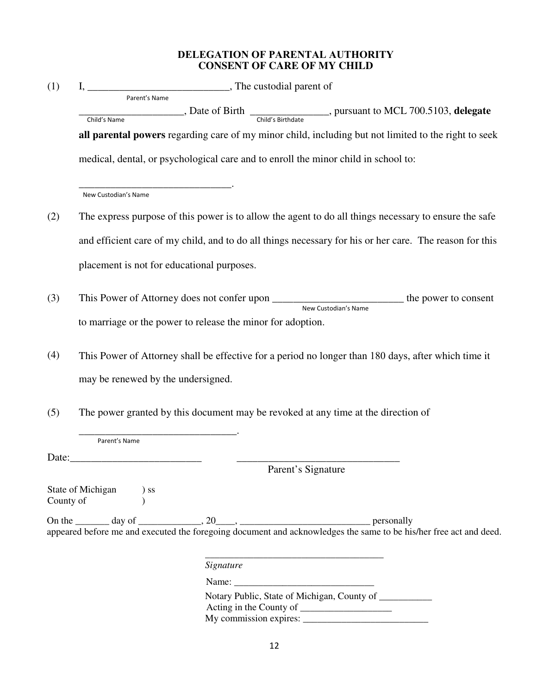#### **DELEGATION OF PARENTAL AUTHORITY CONSENT OF CARE OF MY CHILD**

| (1)                                                                                                        |                        |                                                             |                                                                                                                        |
|------------------------------------------------------------------------------------------------------------|------------------------|-------------------------------------------------------------|------------------------------------------------------------------------------------------------------------------------|
|                                                                                                            |                        |                                                             | $\frac{1}{\text{me}}$ , Date of Birth $\frac{1}{\text{Child's Birthdate}}$ , pursuant to MCL 700.5103, delegate        |
|                                                                                                            | Child's Name           |                                                             |                                                                                                                        |
|                                                                                                            |                        |                                                             | all parental powers regarding care of my minor child, including but not limited to the right to seek                   |
|                                                                                                            |                        |                                                             | medical, dental, or psychological care and to enroll the minor child in school to:                                     |
|                                                                                                            | New Custodian's Name   |                                                             |                                                                                                                        |
| (2)                                                                                                        |                        |                                                             | The express purpose of this power is to allow the agent to do all things necessary to ensure the safe                  |
|                                                                                                            |                        |                                                             | and efficient care of my child, and to do all things necessary for his or her care. The reason for this                |
|                                                                                                            |                        | placement is not for educational purposes.                  |                                                                                                                        |
| (3)                                                                                                        |                        |                                                             | This Power of Attorney does not confer upon ______________________________the power to consent<br>New Custodian's Name |
|                                                                                                            |                        | to marriage or the power to release the minor for adoption. |                                                                                                                        |
| (4)<br>This Power of Attorney shall be effective for a period no longer than 180 days, after which time it |                        |                                                             |                                                                                                                        |
|                                                                                                            |                        | may be renewed by the undersigned.                          |                                                                                                                        |
| (5)                                                                                                        |                        |                                                             | The power granted by this document may be revoked at any time at the direction of                                      |
|                                                                                                            | Parent's Name          |                                                             |                                                                                                                        |
|                                                                                                            |                        |                                                             | Parent's Signature                                                                                                     |
|                                                                                                            |                        |                                                             |                                                                                                                        |
| County of                                                                                                  | State of Michigan ) ss |                                                             |                                                                                                                        |
|                                                                                                            |                        |                                                             |                                                                                                                        |
|                                                                                                            |                        | Signature                                                   |                                                                                                                        |
|                                                                                                            |                        |                                                             |                                                                                                                        |
|                                                                                                            |                        |                                                             | Notary Public, State of Michigan, County of __________                                                                 |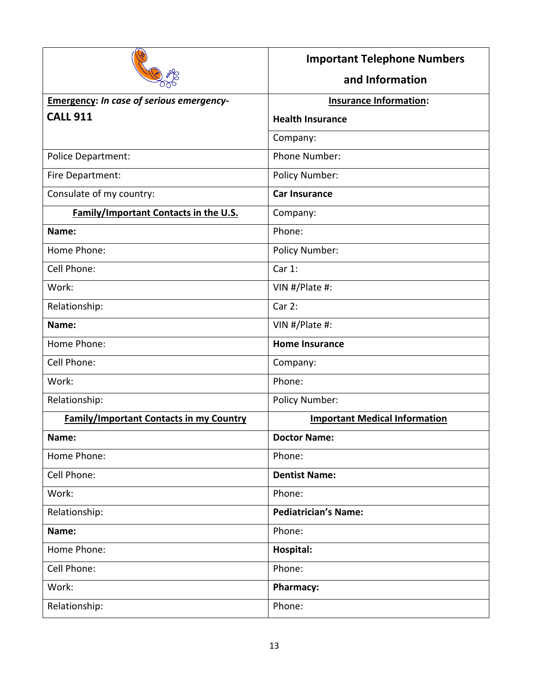|                                                 | <b>Important Telephone Numbers</b>   |  |
|-------------------------------------------------|--------------------------------------|--|
|                                                 | and Information                      |  |
| <b>Emergency: In case of serious emergency-</b> | <b>Insurance Information:</b>        |  |
| <b>CALL 911</b>                                 | <b>Health Insurance</b>              |  |
|                                                 | Company:                             |  |
| Police Department:                              | Phone Number:                        |  |
| Fire Department:                                | Policy Number:                       |  |
| Consulate of my country:                        | <b>Car Insurance</b>                 |  |
| Family/Important Contacts in the U.S.           | Company:                             |  |
| Name:                                           | Phone:                               |  |
| Home Phone:                                     | Policy Number:                       |  |
| Cell Phone:                                     | Car 1:                               |  |
| Work:                                           | VIN #/Plate #:                       |  |
| Relationship:                                   | Car2:                                |  |
| Name:                                           | VIN #/Plate #:                       |  |
| Home Phone:                                     | <b>Home Insurance</b>                |  |
| Cell Phone:                                     | Company:                             |  |
| Work:                                           | Phone:                               |  |
| Relationship:                                   | Policy Number:                       |  |
| <b>Family/Important Contacts in my Country</b>  | <b>Important Medical Information</b> |  |
| Name:                                           | <b>Doctor Name:</b>                  |  |
| Home Phone:                                     | Phone:                               |  |
| Cell Phone:                                     | <b>Dentist Name:</b>                 |  |
| Work:                                           | Phone:                               |  |
| Relationship:                                   | <b>Pediatrician's Name:</b>          |  |
| Name:                                           | Phone:                               |  |
| Home Phone:                                     | Hospital:                            |  |
| Cell Phone:                                     | Phone:                               |  |
| Work:                                           | Pharmacy:                            |  |
| Relationship:                                   | Phone:                               |  |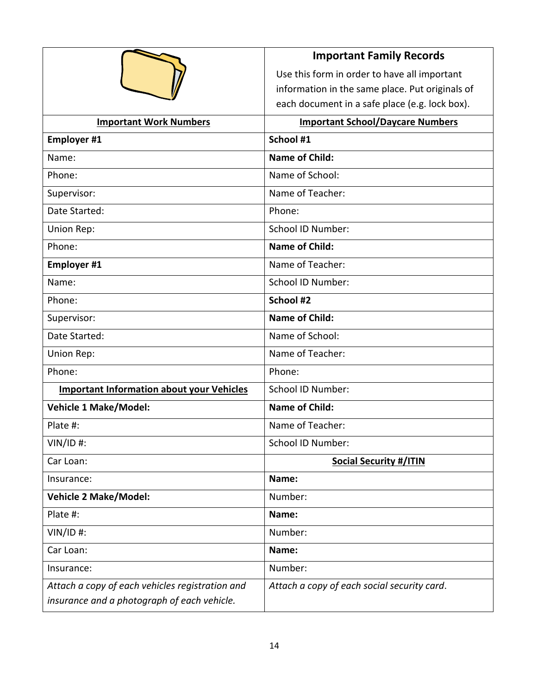|                                                  | <b>Important Family Records</b>                 |  |
|--------------------------------------------------|-------------------------------------------------|--|
|                                                  | Use this form in order to have all important    |  |
|                                                  | information in the same place. Put originals of |  |
|                                                  | each document in a safe place (e.g. lock box).  |  |
| <b>Important Work Numbers</b>                    | <b>Important School/Daycare Numbers</b>         |  |
| <b>Employer #1</b>                               | School #1                                       |  |
| Name:                                            | <b>Name of Child:</b>                           |  |
| Phone:                                           | Name of School:                                 |  |
| Supervisor:                                      | Name of Teacher:                                |  |
| Date Started:                                    | Phone:                                          |  |
| Union Rep:                                       | <b>School ID Number:</b>                        |  |
| Phone:                                           | <b>Name of Child:</b>                           |  |
| <b>Employer #1</b>                               | Name of Teacher:                                |  |
| Name:                                            | School ID Number:                               |  |
| Phone:                                           | School #2                                       |  |
| Supervisor:                                      | <b>Name of Child:</b>                           |  |
| Date Started:                                    | Name of School:                                 |  |
| Union Rep:                                       | Name of Teacher:                                |  |
| Phone:                                           | Phone:                                          |  |
| <b>Important Information about your Vehicles</b> | <b>School ID Number:</b>                        |  |
| <b>Vehicle 1 Make/Model:</b>                     | <b>Name of Child:</b>                           |  |
| Plate #:                                         | Name of Teacher:                                |  |
| $VIN/ID$ #:                                      | School ID Number:                               |  |
| Car Loan:                                        | <b>Social Security #/ITIN</b>                   |  |
| Insurance:                                       | Name:                                           |  |
| <b>Vehicle 2 Make/Model:</b>                     | Number:                                         |  |
| Plate #:                                         | Name:                                           |  |
| $VIN/ID$ #:                                      | Number:                                         |  |
| Car Loan:                                        | Name:                                           |  |
| Insurance:                                       | Number:                                         |  |
| Attach a copy of each vehicles registration and  | Attach a copy of each social security card.     |  |
| insurance and a photograph of each vehicle.      |                                                 |  |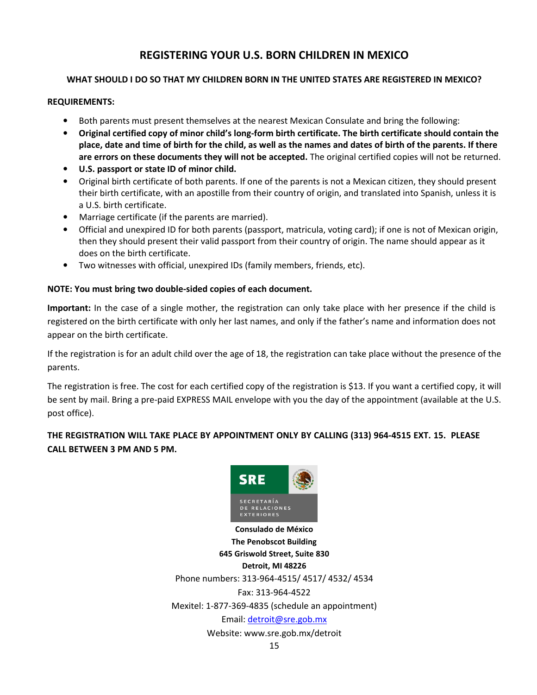#### **REGISTERING YOUR U.S. BORN CHILDREN IN MEXICO**

#### **WHAT SHOULD I DO SO THAT MY CHILDREN BORN IN THE UNITED STATES ARE REGISTERED IN MEXICO?**

#### **REQUIREMENTS:**

- Both parents must present themselves at the nearest Mexican Consulate and bring the following:
- **Original certified copy of minor child's long-form birth certificate. The birth certificate should contain the place, date and time of birth for the child, as well as the names and dates of birth of the parents. If there are errors on these documents they will not be accepted.** The original certified copies will not be returned.
- **U.S. passport or state ID of minor child.**
- Original birth certificate of both parents. If one of the parents is not a Mexican citizen, they should present their birth certificate, with an apostille from their country of origin, and translated into Spanish, unless it is a U.S. birth certificate.
- Marriage certificate (if the parents are married).
- Official and unexpired ID for both parents (passport, matricula, voting card); if one is not of Mexican origin, then they should present their valid passport from their country of origin. The name should appear as it does on the birth certificate.
- Two witnesses with official, unexpired IDs (family members, friends, etc).

#### **NOTE: You must bring two double-sided copies of each document.**

**Important:** In the case of a single mother, the registration can only take place with her presence if the child is registered on the birth certificate with only her last names, and only if the father's name and information does not appear on the birth certificate.

If the registration is for an adult child over the age of 18, the registration can take place without the presence of the parents.

The registration is free. The cost for each certified copy of the registration is \$13. If you want a certified copy, it will be sent by mail. Bring a pre-paid EXPRESS MAIL envelope with you the day of the appointment (available at the U.S. post office).

#### **THE REGISTRATION WILL TAKE PLACE BY APPOINTMENT ONLY BY CALLING (313) 964-4515 EXT. 15. PLEASE CALL BETWEEN 3 PM AND 5 PM.**



**The Penobscot Building 645 Griswold Street, Suite 830 Detroit, MI 48226**  Phone numbers: 313-964-4515/ 4517/ 4532/ 4534 Fax: 313-964-4522 Mexitel: 1-877-369-4835 (schedule an appointment) Email: detroit@sre.gob.mx Website: www.sre.gob.mx/detroit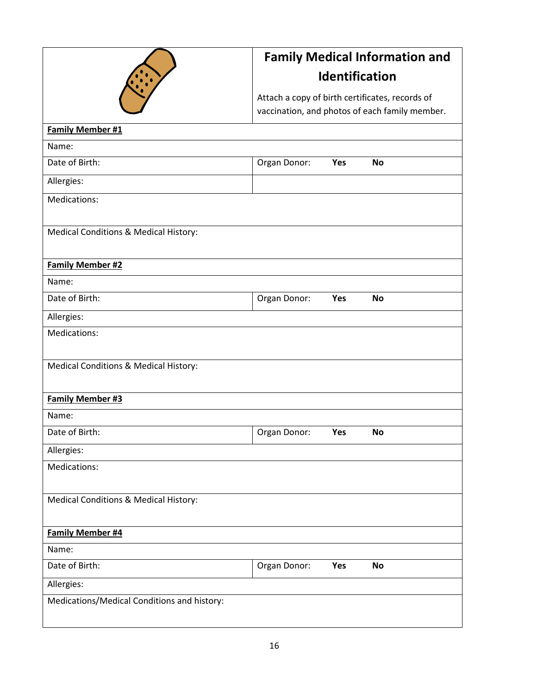

# **Family Medical Information and Identification**

Attach a copy of birth certificates, records of vaccination, and photos of each family member.

| <b>Family Member #1</b>                     |              |     |           |  |
|---------------------------------------------|--------------|-----|-----------|--|
| Name:                                       |              |     |           |  |
| Date of Birth:                              | Organ Donor: | Yes | <b>No</b> |  |
| Allergies:                                  |              |     |           |  |
| Medications:                                |              |     |           |  |
|                                             |              |     |           |  |
| Medical Conditions & Medical History:       |              |     |           |  |
|                                             |              |     |           |  |
| <b>Family Member #2</b>                     |              |     |           |  |
| Name:                                       |              |     |           |  |
| Date of Birth:                              | Organ Donor: | Yes | <b>No</b> |  |
| Allergies:                                  |              |     |           |  |
| Medications:                                |              |     |           |  |
|                                             |              |     |           |  |
| Medical Conditions & Medical History:       |              |     |           |  |
|                                             |              |     |           |  |
| <b>Family Member #3</b>                     |              |     |           |  |
| Name:                                       |              |     |           |  |
| Date of Birth:                              |              |     |           |  |
|                                             | Organ Donor: | Yes | No        |  |
| Allergies:                                  |              |     |           |  |
| Medications:                                |              |     |           |  |
|                                             |              |     |           |  |
| Medical Conditions & Medical History:       |              |     |           |  |
|                                             |              |     |           |  |
| <b>Family Member #4</b>                     |              |     |           |  |
| Name:                                       |              |     |           |  |
| Date of Birth:                              | Organ Donor: | Yes | <b>No</b> |  |
| Allergies:                                  |              |     |           |  |
| Medications/Medical Conditions and history: |              |     |           |  |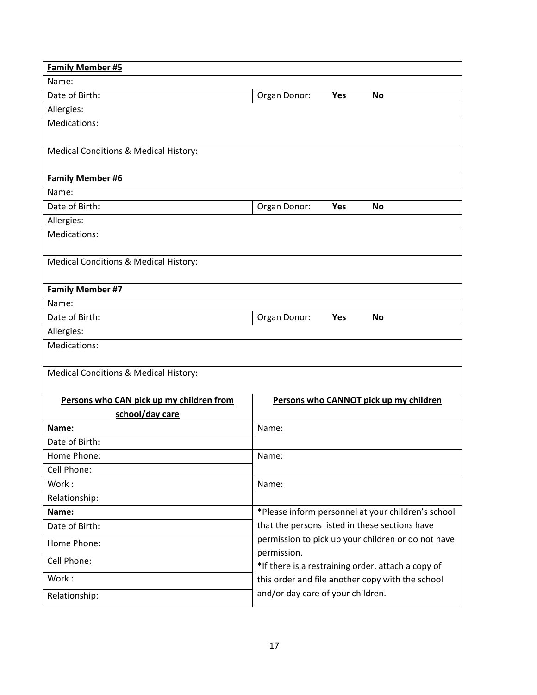| <b>Family Member #5</b>                  |                                                                   |  |  |
|------------------------------------------|-------------------------------------------------------------------|--|--|
| Name:                                    |                                                                   |  |  |
| Date of Birth:                           | Organ Donor:<br>Yes<br>No                                         |  |  |
| Allergies:                               |                                                                   |  |  |
| Medications:                             |                                                                   |  |  |
| Medical Conditions & Medical History:    |                                                                   |  |  |
| Family Member #6                         |                                                                   |  |  |
| Name:                                    |                                                                   |  |  |
| Date of Birth:                           | Organ Donor:<br>Yes<br>No                                         |  |  |
| Allergies:                               |                                                                   |  |  |
| Medications:                             |                                                                   |  |  |
| Medical Conditions & Medical History:    |                                                                   |  |  |
| Family Member #7                         |                                                                   |  |  |
| Name:                                    |                                                                   |  |  |
| Date of Birth:                           | Organ Donor:<br>Yes<br><b>No</b>                                  |  |  |
| Allergies:                               |                                                                   |  |  |
| Medications:                             |                                                                   |  |  |
| Medical Conditions & Medical History:    |                                                                   |  |  |
| Persons who CAN pick up my children from | Persons who CANNOT pick up my children                            |  |  |
| school/day care                          |                                                                   |  |  |
| Name:                                    | Name:                                                             |  |  |
| Date of Birth:                           |                                                                   |  |  |
| Home Phone:                              | Name:                                                             |  |  |
| Cell Phone:                              |                                                                   |  |  |
| Work:                                    | Name:                                                             |  |  |
| Relationship:                            |                                                                   |  |  |
| Name:                                    | *Please inform personnel at your children's school                |  |  |
| Date of Birth:                           | that the persons listed in these sections have                    |  |  |
| Home Phone:                              | permission to pick up your children or do not have                |  |  |
| Cell Phone:                              | permission.<br>*If there is a restraining order, attach a copy of |  |  |
| Work:                                    | this order and file another copy with the school                  |  |  |
| Relationship:                            | and/or day care of your children.                                 |  |  |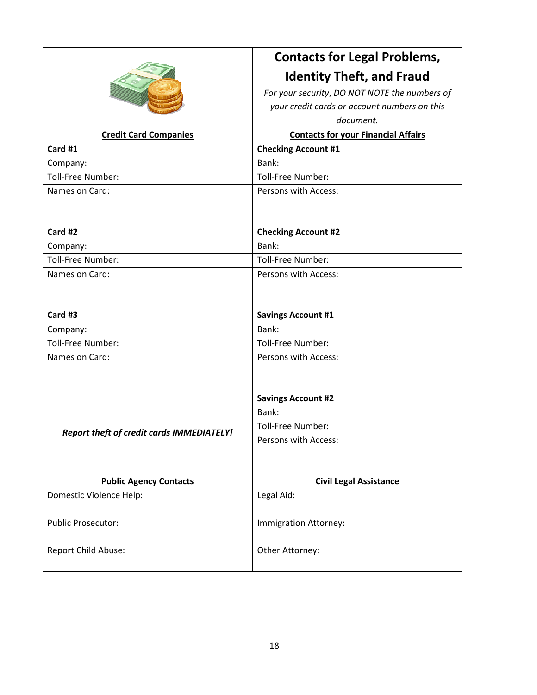| <b>Ultima</b><br><b>Boxes</b> |
|-------------------------------|
| <b>Illingsy</b>               |

# **Contacts for Legal Problems, Identity Theft, and Fraud**

*For your security*, *DO NOT NOTE the numbers of your credit cards or account numbers on this* 

*document.* 

| <b>Credit Card Companies</b>                     | <b>Contacts for your Financial Affairs</b> |  |
|--------------------------------------------------|--------------------------------------------|--|
| Card #1                                          | <b>Checking Account #1</b>                 |  |
| Company:                                         | Bank:                                      |  |
| Toll-Free Number:                                | <b>Toll-Free Number:</b>                   |  |
| Names on Card:                                   | Persons with Access:                       |  |
| Card #2                                          | <b>Checking Account #2</b>                 |  |
| Company:                                         | Bank:                                      |  |
| Toll-Free Number:                                | <b>Toll-Free Number:</b>                   |  |
| Names on Card:                                   | Persons with Access:                       |  |
| Card #3                                          | <b>Savings Account #1</b>                  |  |
| Company:                                         | Bank:                                      |  |
| Toll-Free Number:                                | Toll-Free Number:                          |  |
| Names on Card:                                   | Persons with Access:                       |  |
|                                                  | <b>Savings Account #2</b>                  |  |
|                                                  | Bank:                                      |  |
| <b>Report theft of credit cards IMMEDIATELY!</b> | Toll-Free Number:                          |  |
|                                                  | Persons with Access:                       |  |
| <b>Public Agency Contacts</b>                    | <b>Civil Legal Assistance</b>              |  |
| Domestic Violence Help:                          | Legal Aid:                                 |  |
| <b>Public Prosecutor:</b>                        | Immigration Attorney:                      |  |
| Report Child Abuse:                              | Other Attorney:                            |  |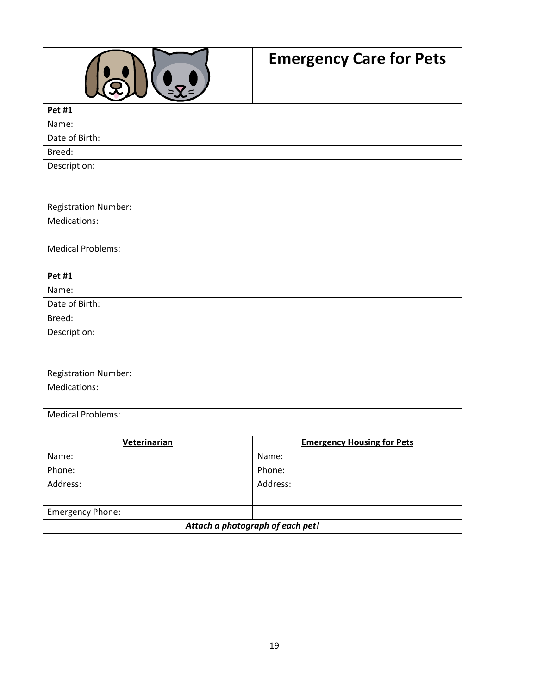

# **Emergency Care for Pets**

| <b>Pet #1</b>                    |                                   |  |  |
|----------------------------------|-----------------------------------|--|--|
| Name:                            |                                   |  |  |
| Date of Birth:                   |                                   |  |  |
| Breed:                           |                                   |  |  |
| Description:                     |                                   |  |  |
|                                  |                                   |  |  |
|                                  |                                   |  |  |
| <b>Registration Number:</b>      |                                   |  |  |
| Medications:                     |                                   |  |  |
|                                  |                                   |  |  |
| <b>Medical Problems:</b>         |                                   |  |  |
|                                  |                                   |  |  |
| <b>Pet #1</b>                    |                                   |  |  |
| Name:                            |                                   |  |  |
| Date of Birth:                   |                                   |  |  |
| Breed:                           |                                   |  |  |
| Description:                     |                                   |  |  |
|                                  |                                   |  |  |
|                                  |                                   |  |  |
| <b>Registration Number:</b>      |                                   |  |  |
| Medications:                     |                                   |  |  |
|                                  |                                   |  |  |
| <b>Medical Problems:</b>         |                                   |  |  |
|                                  |                                   |  |  |
| Veterinarian                     | <b>Emergency Housing for Pets</b> |  |  |
| Name:                            | Name:                             |  |  |
| Phone:                           | Phone:                            |  |  |
| Address:                         | Address:                          |  |  |
|                                  |                                   |  |  |
| Emergency Phone:                 |                                   |  |  |
| Attach a photograph of each pet! |                                   |  |  |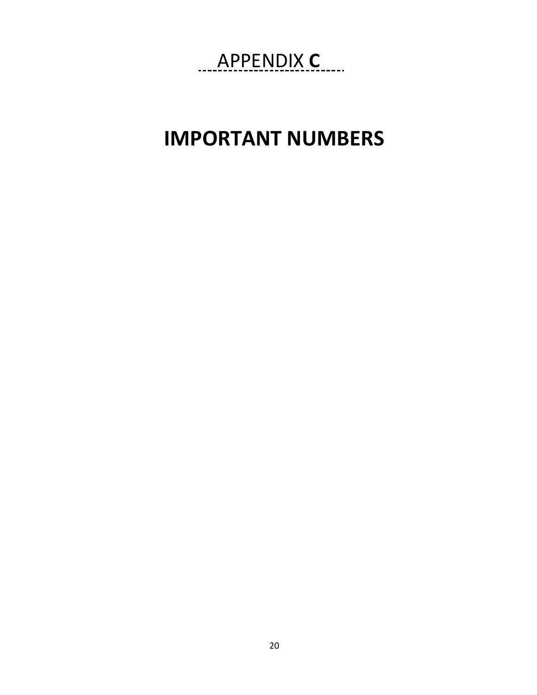# APPENDIX C....

# **IMPORTANT NUMBERS**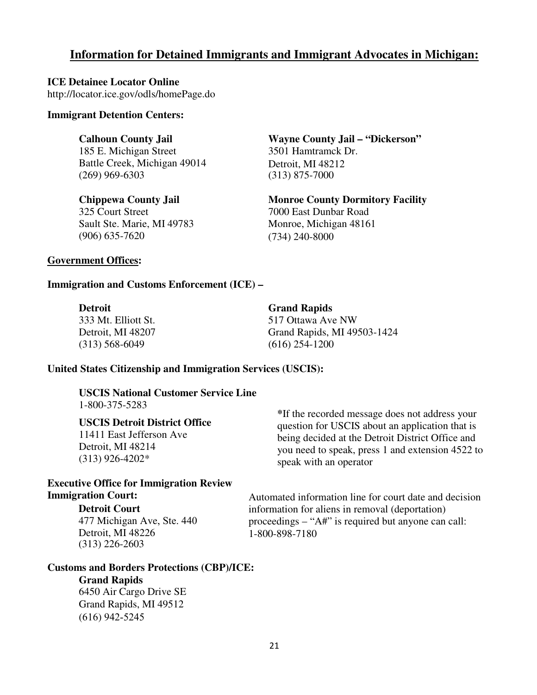#### **Information for Detained Immigrants and Immigrant Advocates in Michigan:**

**ICE Detainee Locator Online**  http://locator.ice.gov/odls/homePage.do

#### **Immigrant Detention Centers:**

#### **Calhoun County Jail**

185 E. Michigan Street Battle Creek, Michigan 49014 (269) 969-6303

#### **Chippewa County Jail**

325 Court Street Sault Ste. Marie, MI 49783 (906) 635-7620

**Wayne County Jail – "Dickerson"** 3501 Hamtramck Dr. Detroit, MI 48212 (313) 875-7000

**Monroe County Dormitory Facility**  7000 East Dunbar Road Monroe, Michigan 48161 (734) 240-8000

#### **Government Offices:**

#### **Immigration and Customs Enforcement (ICE) –**

| <b>Detroit</b>      | <b>Grand Rapids</b>         |
|---------------------|-----------------------------|
| 333 Mt. Elliott St. | 517 Ottawa Ave NW           |
| Detroit, MI 48207   | Grand Rapids, MI 49503-1424 |
| $(313)$ 568-6049    | $(616)$ 254-1200            |

#### **United States Citizenship and Immigration Services (USCIS):**

**USCIS National Customer Service Line**  1-800-375-5283

#### **USCIS Detroit District Office**

11411 East Jefferson Ave Detroit, MI 48214 (313) 926-4202\*

#### **Executive Office for Immigration Review Immigration Court:**

#### **Detroit Court**

477 Michigan Ave, Ste. 440 Detroit, MI 48226 (313) 226-2603

**Customs and Borders Protections (CBP)/ICE:** 

#### **Grand Rapids**

6450 Air Cargo Drive SE Grand Rapids, MI 49512 (616) 942-5245

**\***If the recorded message does not address your question for USCIS about an application that is being decided at the Detroit District Office and you need to speak, press 1 and extension 4522 to speak with an operator

Automated information line for court date and decision information for aliens in removal (deportation) proceedings – "A#" is required but anyone can call: 1-800-898-7180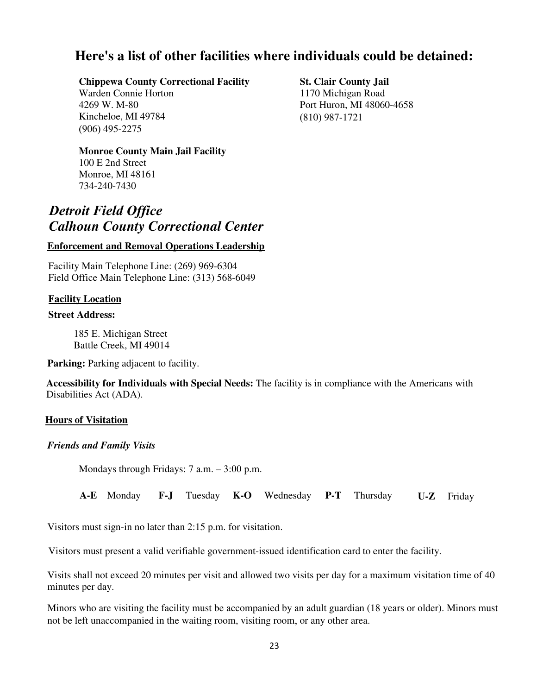## **Here's a list of other facilities where individuals could be detained:**

#### **Chippewa County Correctional Facility**

Warden Connie Horton 4269 W. M-80 Kincheloe, MI 49784 (906) 495-2275

#### **Monroe County Main Jail Facility**

100 E 2nd Street Monroe, MI 48161 734-240-7430

## *Detroit Field Office Calhoun County Correctional Center*

#### **Enforcement and Removal Operations Leadership**

Facility Main Telephone Line: (269) 969-6304 Field Office Main Telephone Line: (313) 568-6049

#### **Facility Location**

#### **Street Address:**

185 E. Michigan Street Battle Creek, MI 49014

**Parking:** Parking adjacent to facility.

**Accessibility for Individuals with Special Needs:** The facility is in compliance with the Americans with Disabilities Act (ADA).

#### **Hours of Visitation**

*Friends and Family Visits* 

Mondays through Fridays: 7 a.m. – 3:00 p.m.

**A-E** Monday **F-J** Tuesday **K-O** Wednesday **P-T** Thursday **U-Z** Friday

Visitors must sign-in no later than 2:15 p.m. for visitation.

Visitors must present a valid verifiable government-issued identification card to enter the facility.

Visits shall not exceed 20 minutes per visit and allowed two visits per day for a maximum visitation time of 40 minutes per day.

Minors who are visiting the facility must be accompanied by an adult guardian (18 years or older). Minors must not be left unaccompanied in the waiting room, visiting room, or any other area.

**St. Clair County Jail**  1170 Michigan Road Port Huron, MI 48060-4658 (810) 987-1721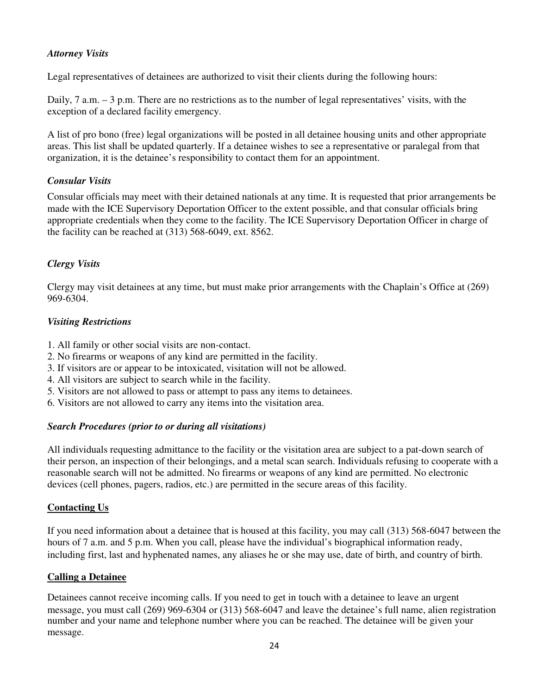#### *Attorney Visits*

Legal representatives of detainees are authorized to visit their clients during the following hours:

Daily, 7 a.m. – 3 p.m. There are no restrictions as to the number of legal representatives' visits, with the exception of a declared facility emergency.

A list of pro bono (free) legal organizations will be posted in all detainee housing units and other appropriate areas. This list shall be updated quarterly. If a detainee wishes to see a representative or paralegal from that organization, it is the detainee's responsibility to contact them for an appointment.

#### *Consular Visits*

Consular officials may meet with their detained nationals at any time. It is requested that prior arrangements be made with the ICE Supervisory Deportation Officer to the extent possible, and that consular officials bring appropriate credentials when they come to the facility. The ICE Supervisory Deportation Officer in charge of the facility can be reached at (313) 568-6049, ext. 8562.

#### *Clergy Visits*

Clergy may visit detainees at any time, but must make prior arrangements with the Chaplain's Office at (269) 969-6304.

#### *Visiting Restrictions*

- 1. All family or other social visits are non-contact.
- 2. No firearms or weapons of any kind are permitted in the facility.
- 3. If visitors are or appear to be intoxicated, visitation will not be allowed.
- 4. All visitors are subject to search while in the facility.
- 5. Visitors are not allowed to pass or attempt to pass any items to detainees.
- 6. Visitors are not allowed to carry any items into the visitation area.

#### *Search Procedures (prior to or during all visitations)*

All individuals requesting admittance to the facility or the visitation area are subject to a pat-down search of their person, an inspection of their belongings, and a metal scan search. Individuals refusing to cooperate with a reasonable search will not be admitted. No firearms or weapons of any kind are permitted. No electronic devices (cell phones, pagers, radios, etc.) are permitted in the secure areas of this facility.

#### **Contacting Us**

If you need information about a detainee that is housed at this facility, you may call (313) 568-6047 between the hours of 7 a.m. and 5 p.m. When you call, please have the individual's biographical information ready, including first, last and hyphenated names, any aliases he or she may use, date of birth, and country of birth.

#### **Calling a Detainee**

Detainees cannot receive incoming calls. If you need to get in touch with a detainee to leave an urgent message, you must call (269) 969-6304 or (313) 568-6047 and leave the detainee's full name, alien registration number and your name and telephone number where you can be reached. The detainee will be given your message.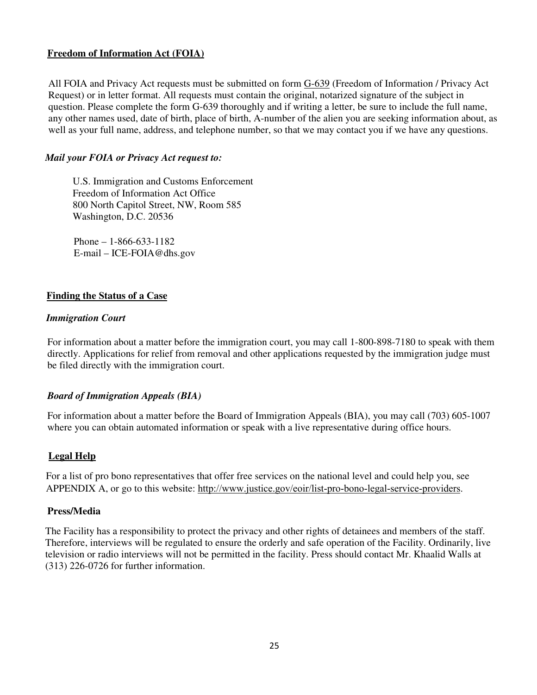#### **Freedom of Information Act (FOIA)**

All FOIA and Privacy Act requests must be submitted on form G-639 (Freedom of Information / Privacy Act Request) or in letter format. All requests must contain the original, notarized signature of the subject in question. Please complete the form G-639 thoroughly and if writing a letter, be sure to include the full name, any other names used, date of birth, place of birth, A-number of the alien you are seeking information about, as well as your full name, address, and telephone number, so that we may contact you if we have any questions.

#### *Mail your FOIA or Privacy Act request to:*

U.S. Immigration and Customs Enforcement Freedom of Information Act Office 800 North Capitol Street, NW, Room 585 Washington, D.C. 20536

Phone – 1-866-633-1182 E-mail – ICE-FOIA@dhs.gov

#### **Finding the Status of a Case**

#### *Immigration Court*

For information about a matter before the immigration court, you may call 1-800-898-7180 to speak with them directly. Applications for relief from removal and other applications requested by the immigration judge must be filed directly with the immigration court.

#### *Board of Immigration Appeals (BIA)*

For information about a matter before the Board of Immigration Appeals (BIA), you may call (703) 605-1007 where you can obtain automated information or speak with a live representative during office hours.

#### **Legal Help**

For a list of pro bono representatives that offer free services on the national level and could help you, see APPENDIX A, or go to this website: http://www.justice.gov/eoir/list-pro-bono-legal-service-providers.

#### **Press/Media**

The Facility has a responsibility to protect the privacy and other rights of detainees and members of the staff. Therefore, interviews will be regulated to ensure the orderly and safe operation of the Facility. Ordinarily, live television or radio interviews will not be permitted in the facility. Press should contact Mr. Khaalid Walls at (313) 226-0726 for further information.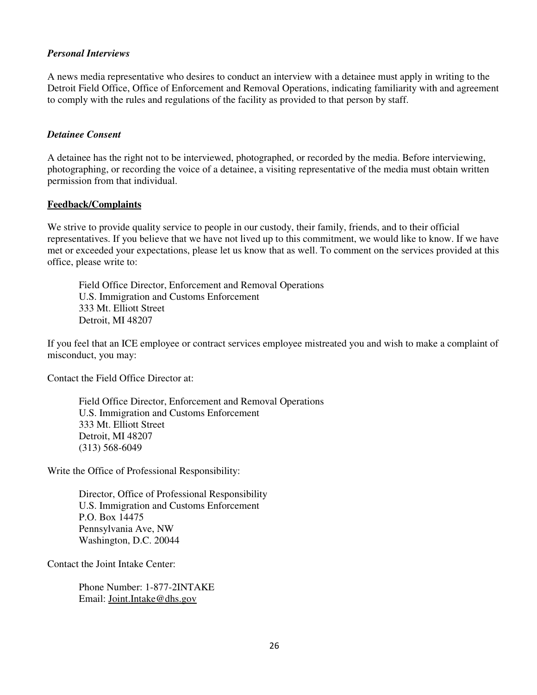#### *Personal Interviews*

A news media representative who desires to conduct an interview with a detainee must apply in writing to the Detroit Field Office, Office of Enforcement and Removal Operations, indicating familiarity with and agreement to comply with the rules and regulations of the facility as provided to that person by staff.

#### *Detainee Consent*

A detainee has the right not to be interviewed, photographed, or recorded by the media. Before interviewing, photographing, or recording the voice of a detainee, a visiting representative of the media must obtain written permission from that individual.

#### **Feedback/Complaints**

We strive to provide quality service to people in our custody, their family, friends, and to their official representatives. If you believe that we have not lived up to this commitment, we would like to know. If we have met or exceeded your expectations, please let us know that as well. To comment on the services provided at this office, please write to:

Field Office Director, Enforcement and Removal Operations U.S. Immigration and Customs Enforcement 333 Mt. Elliott Street Detroit, MI 48207

If you feel that an ICE employee or contract services employee mistreated you and wish to make a complaint of misconduct, you may:

Contact the Field Office Director at:

Field Office Director, Enforcement and Removal Operations U.S. Immigration and Customs Enforcement 333 Mt. Elliott Street Detroit, MI 48207 (313) 568-6049

Write the Office of Professional Responsibility:

Director, Office of Professional Responsibility U.S. Immigration and Customs Enforcement P.O. Box 14475 Pennsylvania Ave, NW Washington, D.C. 20044

Contact the Joint Intake Center:

Phone Number: 1-877-2INTAKE Email: Joint.Intake@dhs.gov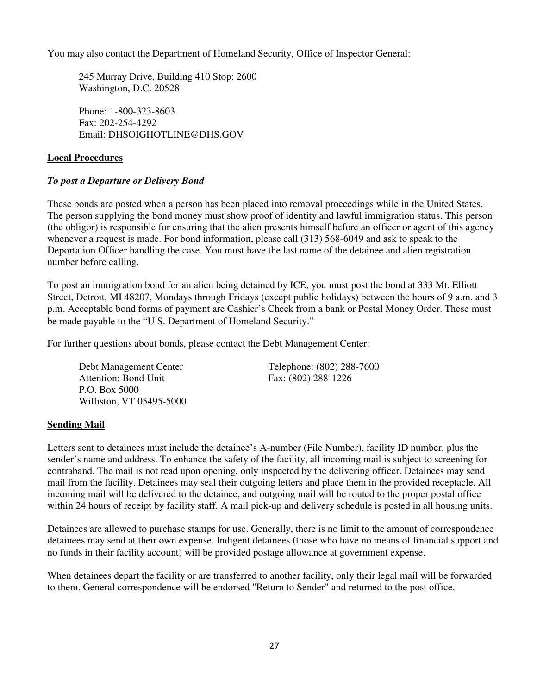You may also contact the Department of Homeland Security, Office of Inspector General:

245 Murray Drive, Building 410 Stop: 2600 Washington, D.C. 20528

Phone: 1-800-323-8603 Fax: 202-254-4292 Email: DHSOIGHOTLINE@DHS.GOV

#### **Local Procedures**

#### *To post a Departure or Delivery Bond*

These bonds are posted when a person has been placed into removal proceedings while in the United States. The person supplying the bond money must show proof of identity and lawful immigration status. This person (the obligor) is responsible for ensuring that the alien presents himself before an officer or agent of this agency whenever a request is made. For bond information, please call (313) 568-6049 and ask to speak to the Deportation Officer handling the case. You must have the last name of the detainee and alien registration number before calling.

To post an immigration bond for an alien being detained by ICE, you must post the bond at 333 Mt. Elliott Street, Detroit, MI 48207, Mondays through Fridays (except public holidays) between the hours of 9 a.m. and 3 p.m. Acceptable bond forms of payment are Cashier's Check from a bank or Postal Money Order. These must be made payable to the "U.S. Department of Homeland Security."

For further questions about bonds, please contact the Debt Management Center:

Debt Management Center Telephone: (802) 288-7600 Attention: Bond Unit Fax: (802) 288-1226 P.O. Box 5000 Williston, VT 05495-5000

#### **Sending Mail**

Letters sent to detainees must include the detainee's A-number (File Number), facility ID number, plus the sender's name and address. To enhance the safety of the facility, all incoming mail is subject to screening for contraband. The mail is not read upon opening, only inspected by the delivering officer. Detainees may send mail from the facility. Detainees may seal their outgoing letters and place them in the provided receptacle. All incoming mail will be delivered to the detainee, and outgoing mail will be routed to the proper postal office within 24 hours of receipt by facility staff. A mail pick-up and delivery schedule is posted in all housing units.

Detainees are allowed to purchase stamps for use. Generally, there is no limit to the amount of correspondence detainees may send at their own expense. Indigent detainees (those who have no means of financial support and no funds in their facility account) will be provided postage allowance at government expense.

When detainees depart the facility or are transferred to another facility, only their legal mail will be forwarded to them. General correspondence will be endorsed "Return to Sender" and returned to the post office.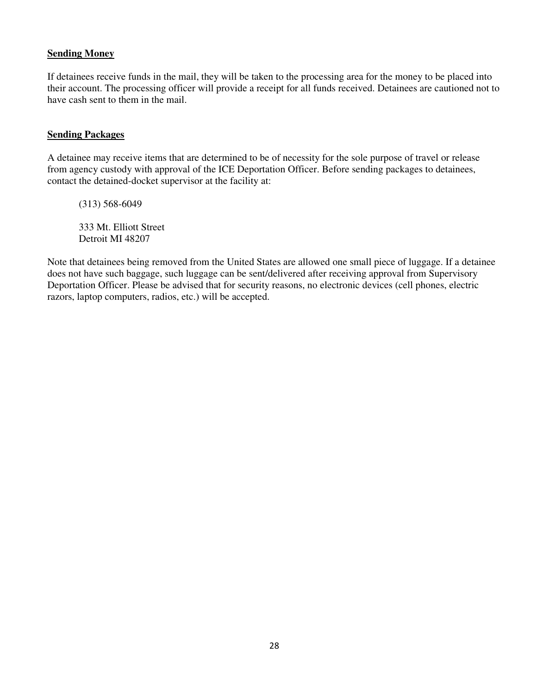#### **Sending Money**

If detainees receive funds in the mail, they will be taken to the processing area for the money to be placed into their account. The processing officer will provide a receipt for all funds received. Detainees are cautioned not to have cash sent to them in the mail.

#### **Sending Packages**

A detainee may receive items that are determined to be of necessity for the sole purpose of travel or release from agency custody with approval of the ICE Deportation Officer. Before sending packages to detainees, contact the detained-docket supervisor at the facility at:

(313) 568-6049

333 Mt. Elliott Street Detroit MI 48207

Note that detainees being removed from the United States are allowed one small piece of luggage. If a detainee does not have such baggage, such luggage can be sent/delivered after receiving approval from Supervisory Deportation Officer. Please be advised that for security reasons, no electronic devices (cell phones, electric razors, laptop computers, radios, etc.) will be accepted.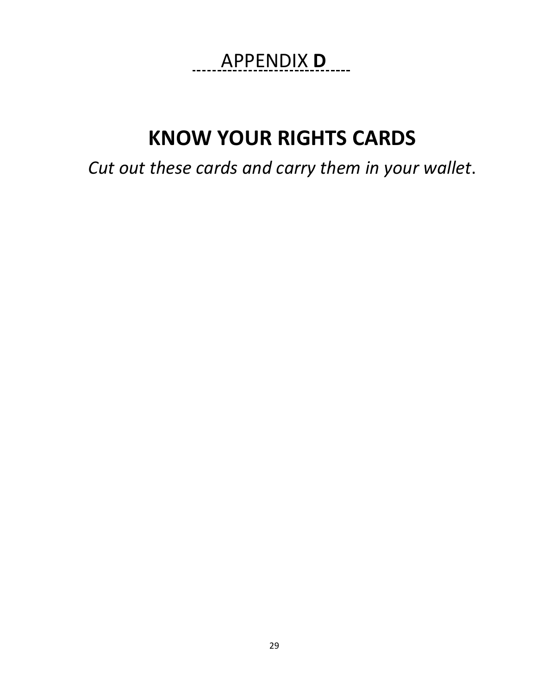# APPENDIX **D .**

# **KNOW YOUR RIGHTS CARDS**

*Cut out these cards and carry them in your wallet*.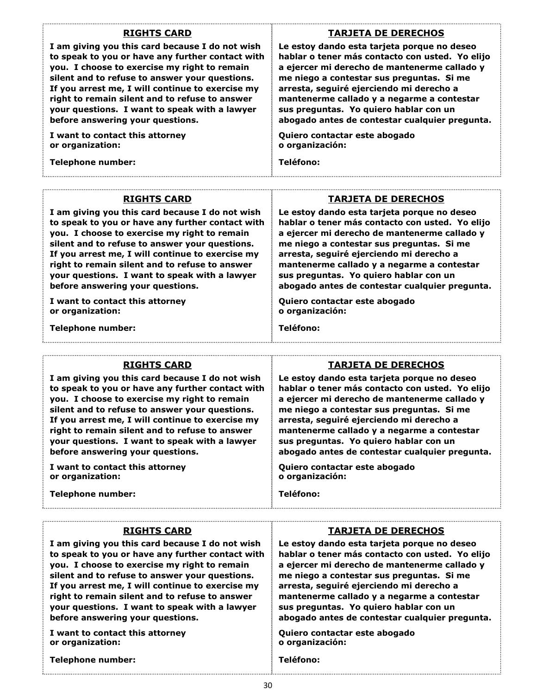#### **RIGHTS CARD**

**I am giving you this card because I do not wish to speak to you or have any further contact with you. I choose to exercise my right to remain silent and to refuse to answer your questions. If you arrest me, I will continue to exercise my right to remain silent and to refuse to answer your questions. I want to speak with a lawyer before answering your questions.** 

**I want to contact this attorney or organization:** 

**Telephone number:** 

#### **TARJETA DE DERECHOS**

**Le estoy dando esta tarjeta porque no deseo hablar o tener más contacto con usted. Yo elijo a ejercer mi derecho de mantenerme callado y me niego a contestar sus preguntas. Si me arresta, seguiré ejerciendo mi derecho a mantenerme callado y a negarme a contestar sus preguntas. Yo quiero hablar con un abogado antes de contestar cualquier pregunta.**

**Quiero contactar este abogado o organización:**

**Teléfono:** 

#### **RIGHTS CARD**

**I am giving you this card because I do not wish to speak to you or have any further contact with you. I choose to exercise my right to remain silent and to refuse to answer your questions. If you arrest me, I will continue to exercise my right to remain silent and to refuse to answer your questions. I want to speak with a lawyer before answering your questions.** 

**I want to contact this attorney or organization:** 

**Telephone number:** 

#### **TARJETA DE DERECHOS**

**Le estoy dando esta tarjeta porque no deseo hablar o tener más contacto con usted. Yo elijo a ejercer mi derecho de mantenerme callado y me niego a contestar sus preguntas. Si me arresta, seguiré ejerciendo mi derecho a mantenerme callado y a negarme a contestar sus preguntas. Yo quiero hablar con un abogado antes de contestar cualquier pregunta.**

**Quiero contactar este abogado o organización:**

**Teléfono:** 

#### **RIGHTS CARD**

**I am giving you this card because I do not wish to speak to you or have any further contact with you. I choose to exercise my right to remain silent and to refuse to answer your questions. If you arrest me, I will continue to exercise my right to remain silent and to refuse to answer your questions. I want to speak with a lawyer before answering your questions.** 

**I want to contact this attorney or organization:** 

**Telephone number:** 

#### **TARJETA DE DERECHOS**

**Le estoy dando esta tarjeta porque no deseo hablar o tener más contacto con usted. Yo elijo a ejercer mi derecho de mantenerme callado y me niego a contestar sus preguntas. Si me arresta, seguiré ejerciendo mi derecho a mantenerme callado y a negarme a contestar sus preguntas. Yo quiero hablar con un abogado antes de contestar cualquier pregunta.**

**Quiero contactar este abogado o organización:**

**Teléfono:** 

#### **RIGHTS CARD**

**I am giving you this card because I do not wish to speak to you or have any further contact with you. I choose to exercise my right to remain silent and to refuse to answer your questions. If you arrest me, I will continue to exercise my right to remain silent and to refuse to answer your questions. I want to speak with a lawyer before answering your questions.** 

**I want to contact this attorney or organization:** 

**Telephone number:** 

**Le estoy dando esta tarjeta porque no deseo hablar o tener más contacto con usted. Yo elijo a ejercer mi derecho de mantenerme callado y me niego a contestar sus preguntas. Si me arresta, seguiré ejerciendo mi derecho a mantenerme callado y a negarme a contestar sus preguntas. Yo quiero hablar con un abogado antes de contestar cualquier pregunta.**

**TARJETA DE DERECHOS**

**Quiero contactar este abogado o organización:**

#### **Teléfono:**